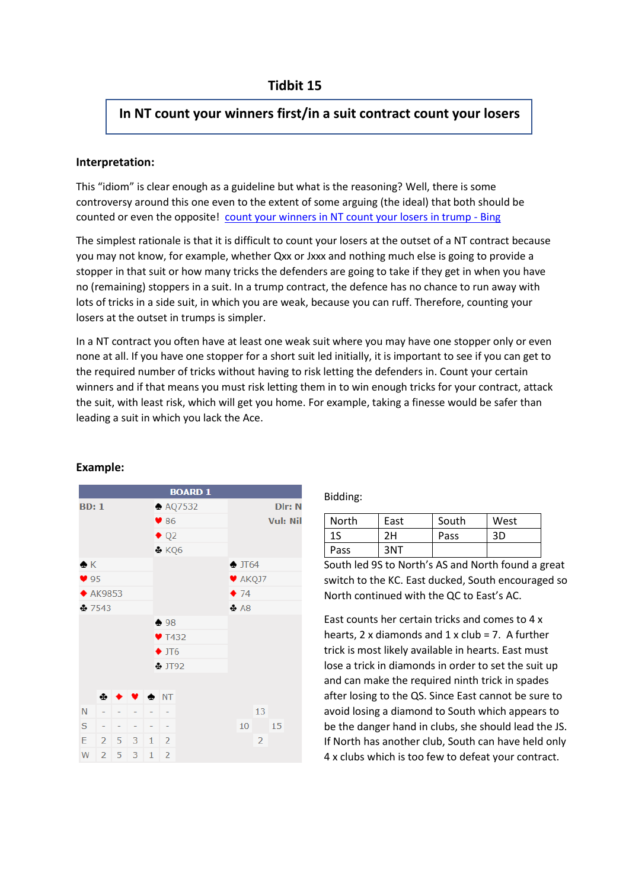# **In NT count your winners first/in a suit contract count your losers**

## **Interpretation:**

This "idiom" is clear enough as a guideline but what is the reasoning? Well, there is some controversy around this one even to the extent of some arguing (the ideal) that both should be counted or even the opposite! [count your winners in NT count your losers in trump -](https://www.bing.com/search?q=count+your+winners+in+NT+count+your+losers+in+trump&qs=n&form=QBRE&sp=-1&pq=count+your+winners+in+nt+count+your+losers+in+trump&sc=0-51&sk=&cvid=B6AAAB5D6F1F426CAB620DDC7C4EF69F) Bing

The simplest rationale is that it is difficult to count your losers at the outset of a NT contract because you may not know, for example, whether Qxx or Jxxx and nothing much else is going to provide a stopper in that suit or how many tricks the defenders are going to take if they get in when you have no (remaining) stoppers in a suit. In a trump contract, the defence has no chance to run away with lots of tricks in a side suit, in which you are weak, because you can ruff. Therefore, counting your losers at the outset in trumps is simpler.

In a NT contract you often have at least one weak suit where you may have one stopper only or even none at all. If you have one stopper for a short suit led initially, it is important to see if you can get to the required number of tricks without having to risk letting the defenders in. Count your certain winners and if that means you must risk letting them in to win enough tricks for your contract, attack the suit, with least risk, which will get you home. For example, taking a finesse would be safer than leading a suit in which you lack the Ace.



## **Example:**

### Bidding:

| North | East | South | West |
|-------|------|-------|------|
| 1S    | 2H   | Pass  | 3D   |
| Pass  | 3NT  |       |      |

South led 9S to North's AS and North found a great switch to the KC. East ducked, South encouraged so North continued with the QC to East's AC.

East counts her certain tricks and comes to 4 x hearts, 2 x diamonds and 1 x club = 7. A further trick is most likely available in hearts. East must lose a trick in diamonds in order to set the suit up and can make the required ninth trick in spades after losing to the QS. Since East cannot be sure to avoid losing a diamond to South which appears to be the danger hand in clubs, she should lead the JS. If North has another club, South can have held only 4 x clubs which is too few to defeat your contract.